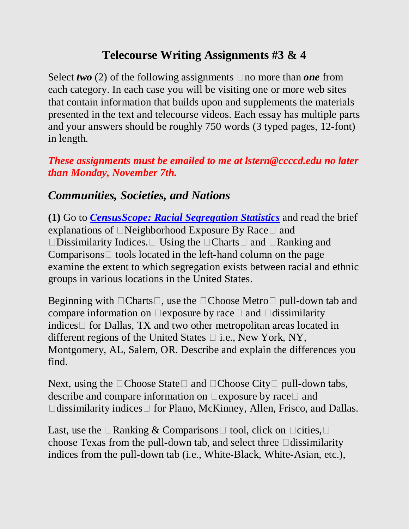## **Telecourse Writing Assignments #3 & 4**

Select *two* (2) of the following assignments  $\Box$  no more than *one* from each category. In each case you will be visiting one or more web sites that contain information that builds upon and supplements the materials presented in the text and telecourse videos. Each essay has multiple parts and your answers should be roughly 750 words (3 typed pages, 12-font) in length.

#### *These assignments must be emailed to me at lstern@ccccd.edu no later than Monday, November 7th.*

## *Communities, Societies, and Nations*

**(1)** Go to *[CensusScope: Racial Segregation Statistics](http://www.censusscope.org/segregation.html)* and read the brief explanations of  $\Box$  Neighborhood Exposure By Race  $\Box$  and  $\square$ Dissimilarity Indices.  $\square$  Using the  $\square$ Charts  $\square$  and  $\square$ Ranking and Comparisons  $\Box$  tools located in the left-hand column on the page examine the extent to which segregation exists between racial and ethnic groups in various locations in the United States.

Beginning with  $\Box$  Charts $\Box$ , use the  $\Box$  Choose Metro  $\Box$  pull-down tab and compare information on  $\Box$  exposure by race  $\Box$  and  $\Box$  dissimilarity indices  $\Box$  for Dallas, TX and two other metropolitan areas located in different regions of the United States  $\Box$  i.e., New York, NY, Montgomery, AL, Salem, OR. Describe and explain the differences you find.

Next, using the  $\Box$ Choose State  $\Box$  and  $\Box$ Choose City  $\Box$  pull-down tabs, describe and compare information on  $\Box$  exposure by race  $\Box$  and  $\Box$ dissimilarity indices  $\Box$  for Plano, McKinney, Allen, Frisco, and Dallas.

Last, use the  $\Box$ Ranking & Comparisons $\Box$  tool, click on  $\Box$ cities,  $\Box$ choose Texas from the pull-down tab, and select three  $\Box$ dissimilarity indices from the pull-down tab (i.e., White-Black, White-Asian, etc.),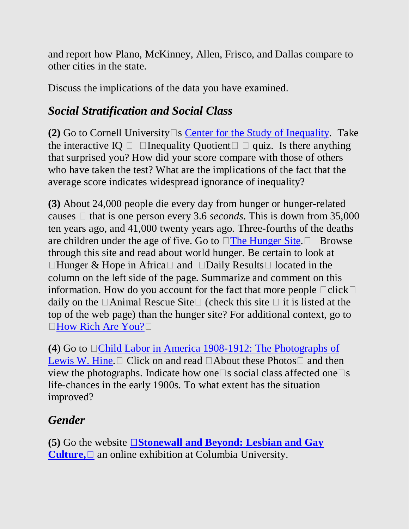and report how Plano, McKinney, Allen, Frisco, and Dallas compare to other cities in the state.

Discuss the implications of the data you have examined.

## *Social Stratification and Social Class*

**(2)** Go to Cornell University  $\Box$  **[Center for the Study of Inequality.](http://www.inequality.com/) Take** the interactive IQ  $\Box$   $\Box$  Inequality Quotient  $\Box$   $\Box$  quiz. Is there anything that surprised you? How did your score compare with those of others who have taken the test? What are the implications of the fact that the average score indicates widespread ignorance of inequality?

**(3)** About 24,000 people die every day from hunger or hunger-related causes  $\Box$  that is one person every 3.6 *seconds*. This is down from 35,000 ten years ago, and 41,000 twenty years ago. Three-fourths of the deaths are children under the age of five. Go to  $\Box$  [The Hunger Site.](http://www.thehungersite.com/)  $\Box$  Browse through this site and read about world hunger. Be certain to look at  $\Box$ Hunger & Hope in Africa $\Box$  and  $\Box$ Daily Results  $\Box$  located in the column on the left side of the page. Summarize and comment on this information. How do you account for the fact that more people  $\Box$ click $\Box$ daily on the  $\Box$  Animal Rescue Site  $\Box$  (check this site  $\Box$  it is listed at the top of the web page) than the hunger site? For additional context, go to □[How Rich Are You?](http://www.globalrichlist.com/)□

**(4)** Go to  $\Box$ Child Labor in America 1908-1912: The Photographs of [Lewis W. Hine.](http://www.historyplace.com/unitedstates/childlabor/)  $\Box$  Click on and read  $\Box$  About these Photos  $\Box$  and then view the photographs. Indicate how one  $\Box$  s social class affected one  $\Box$  s life-chances in the early 1900s. To what extent has the situation improved?

# *Gender*

**(5)** Go the website **Stonewall** and **Beyond: Lesbian and Gay [Culture,](http://www.columbia.edu/cu/lweb/eresources/exhibitions/sw25/index.html)**  $\Box$  an online exhibition at Columbia University.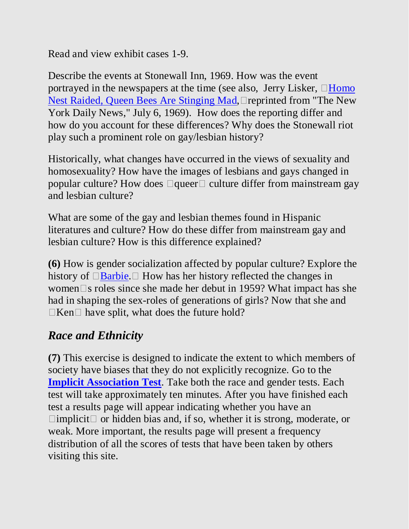Read and view exhibit cases 1-9.

Describe the events at Stonewall Inn, 1969. How was the event portrayed in the newspapers at the time (see also, Jerry Lisker,  $\Box$ Homo [Nest Raided, Queen Bees Are Stinging Mad,](http://www.yak.net/ian/stonewall.html)  $\Box$  reprinted from "The New York Daily News," July 6, 1969). How does the reporting differ and how do you account for these differences? Why does the Stonewall riot play such a prominent role on gay/lesbian history?

Historically, what changes have occurred in the views of sexuality and homosexuality? How have the images of lesbians and gays changed in popular culture? How does  $\Box$ queer  $\Box$  culture differ from mainstream gay and lesbian culture?

What are some of the gay and lesbian themes found in Hispanic literatures and culture? How do these differ from mainstream gay and lesbian culture? How is this difference explained?

**(6)** How is gender socialization affected by popular culture? Explore the history of  $\Box$  [Barbie.](http://www.nytimes.com/2004/03/30/opinion/30TUE4.html?ex=1081227600&en=14286b9062cb1443&ei=5062&partner=GOOGLE%20)  $\Box$  How has her history reflected the changes in women $\square$ s roles since she made her debut in 1959? What impact has she had in shaping the sex-roles of generations of girls? Now that she and  $\Box$ Ken $\Box$  have split, what does the future hold?

### *Race and Ethnicity*

**(7)** This exercise is designed to indicate the extent to which members of society have biases that they do not explicitly recognize. Go to the **[Implicit Association Test](http://www.understandingprejudice.org/iat/)**. Take both the race and gender tests. Each test will take approximately ten minutes. After you have finished each test a results page will appear indicating whether you have an  $\Box$ implicit $\Box$  or hidden bias and, if so, whether it is strong, moderate, or weak. More important, the results page will present a frequency distribution of all the scores of tests that have been taken by others visiting this site.